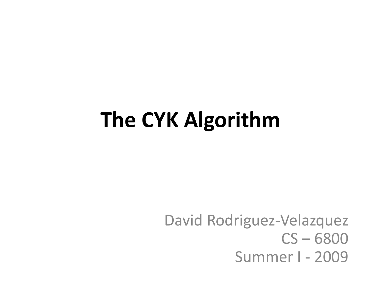#### **The CYK Algorithm**

David Rodriguez-Velazquez CS – 6800 Summer I - 2009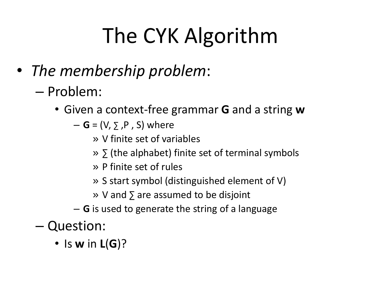# The CYK Algorithm

- *The membership problem*:
	- Problem:
		- Given a context-free grammar **G** and a string **w**
			- $-$  **G** = (V,  $\sum$ ,  $P$ , S) where
				- » V finite set of variables
				- » ∑ (the alphabet) finite set of terminal symbols
				- » P finite set of rules
				- » S start symbol (distinguished element of V)
				- » V and ∑ are assumed to be disjoint
			- **G** is used to generate the string of a language
	- Question:
		- Is **w** in **L**(**G**)?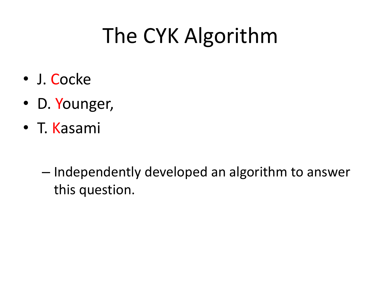# The CYK Algorithm

- J. Cocke
- D. Younger,
- T. Kasami
	- Independently developed an algorithm to answer this question.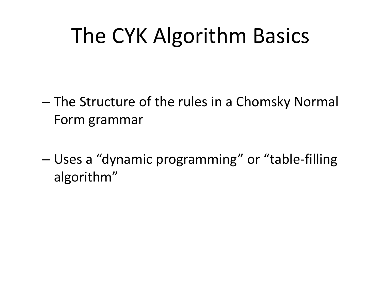#### The CYK Algorithm Basics

- The Structure of the rules in a Chomsky Normal Form grammar
- Uses a "dynamic programming" or "table-filling algorithm"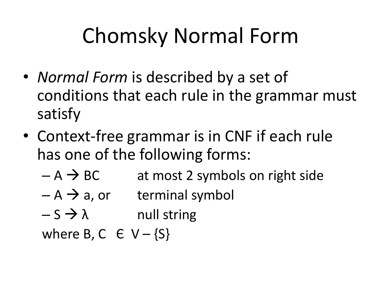## Chomsky Normal Form

- *Normal Form* is described by a set of conditions that each rule in the grammar must satisfy
- Context-free grammar is in CNF if each rule has one of the following forms:
	- $-A \rightarrow BC$  at most 2 symbols on right side
	- $-A \rightarrow a$ , or terminal symbol
	- $-S \rightarrow \lambda$  null string

where B, C  $\in$  V – {S}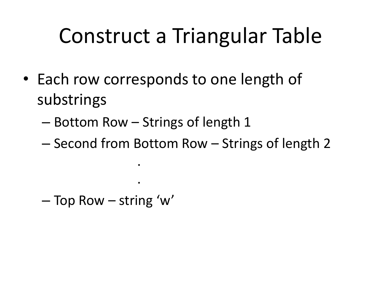- Each row corresponds to one length of substrings
	- Bottom Row Strings of length 1

.

.

– Second from Bottom Row – Strings of length 2

– Top Row – string 'w'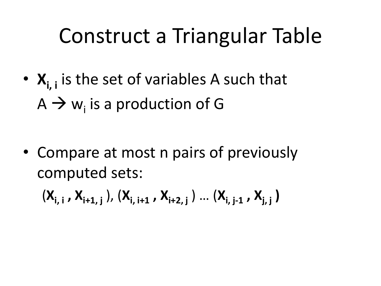- **Xi, i** is the set of variables A such that  $A \rightarrow w_{i}$  is a production of G
- Compare at most n pairs of previously computed sets:

(**Xi, i , Xi+1, j** ), (**Xi, i+1 , Xi+2, j** ) … (**Xi, j-1 , Xj, j )**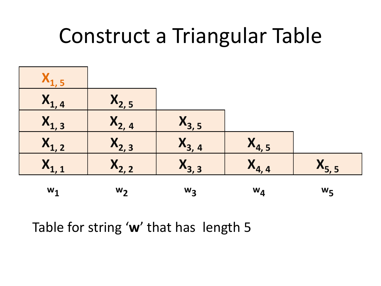

Table for string '**w**' that has length 5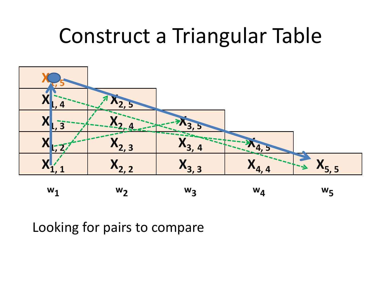

Looking for pairs to compare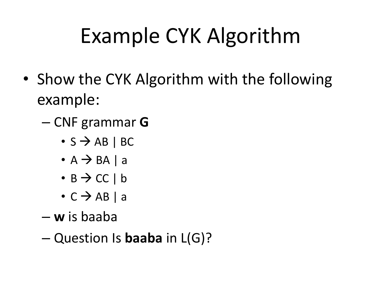## Example CYK Algorithm

- Show the CYK Algorithm with the following example:
	- CNF grammar **G**
		- $\cdot$  S  $\rightarrow$  AB | BC
		- $\bullet$  A  $\rightarrow$  BA | a
		- $\cdot$  B  $\rightarrow$  CC | b
		- $\cdot$  C  $\rightarrow$  AB | a
	- **w** is baaba
	- Question Is **baaba** in L(G)?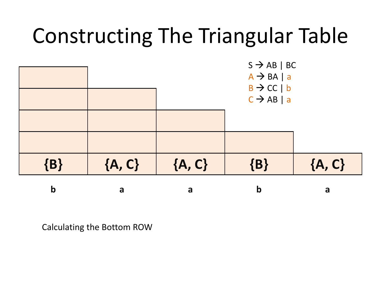

Calculating the Bottom ROW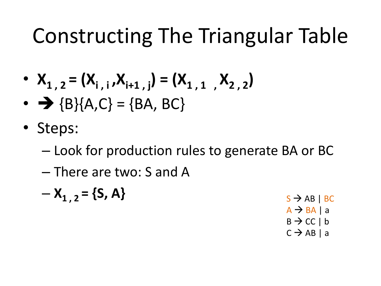- $X_{1, 2} = (X_{i, i}, X_{i+1, i}) = (X_{1, 1}, X_{2, 2})$
- $\rightarrow \{B\}(A, C) = \{BA, BC\}$
- Steps:
	- Look for production rules to generate BA or BC
	- There are two: S and A

$$
- X_{1, 2} = \{S, A\}
$$
  
s  $\rightarrow AB | BC$   
a  $\rightarrow BA | a$   
b  $\rightarrow CC | b$   
c  $\rightarrow AB | a$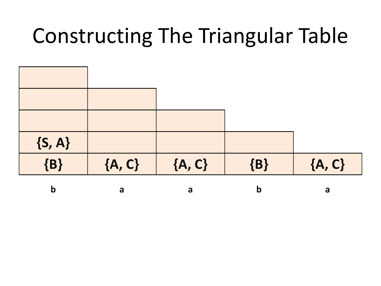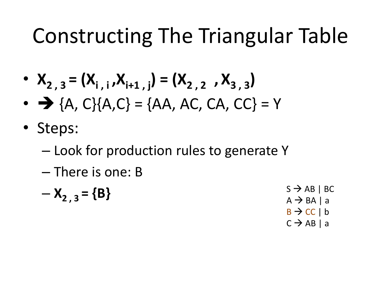- $X_{2,3} = (X_{i,j}, X_{i+1,j}) = (X_{2,2}, X_{3,3})$
- $\rightarrow$  {A, C}{A, C} = {AA, AC, CA, CC} = Y
- Steps:
	- Look for production rules to generate Y
	- There is one: B
	- $-\mathsf{X}_{2,3} = \{ \mathsf{B} \}$  S  $\rightarrow$  AB | BC  $A \rightarrow BA$  | a  $B \rightarrow CC \mid b$  $C \rightarrow AB \mid a$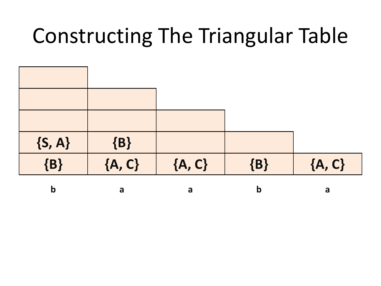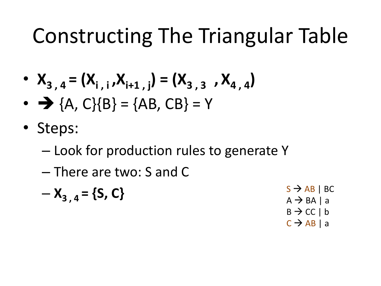- $X_{3,4} = (X_{i,1}, X_{i+1,1}) = (X_{3,3}, X_{4,4})$
- $\rightarrow$  {A, C}{B} = {AB, CB} = Y
- Steps:
	- Look for production rules to generate Y
	- There are two: S and C
	- $-\mathbf{X}_{3,4} = \{S, C\}$  S  $\rightarrow$  AB | BC  $A \rightarrow BA$  | a  $B \rightarrow CC \mid b$ 
		- $C \rightarrow AB \mid a$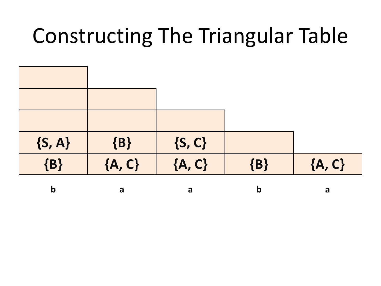| $\{S, A\}$ | $\{B\}$  | $\{S, C\}$ |             |          |
|------------|----------|------------|-------------|----------|
| $\{B\}$    | ${A, C}$ | ${A, C}$   | $\{B\}$     | ${A, C}$ |
| b          | a        | a          | $\mathbf b$ | a        |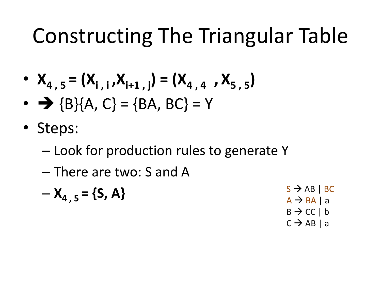• 
$$
X_{4,5} = (X_{i,i}, X_{i+1,j}) = (X_{4,4}, X_{5,5})
$$

- $\rightarrow \{B\} \{A, C\} = \{BA, BC\} = Y$
- Steps:
	- Look for production rules to generate Y
	- There are two: S and A

$$
- X_{4, 5} = \{S, A\}
$$
  
\n
$$
S \rightarrow AB | BC
$$
  
\n
$$
A \rightarrow BA | a
$$
  
\n
$$
B \rightarrow CC | b
$$

 $C \rightarrow AB \mid a$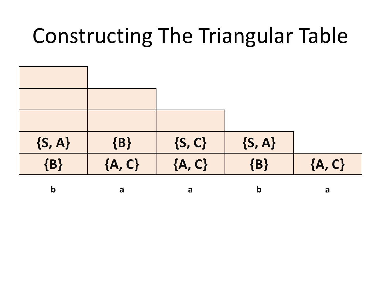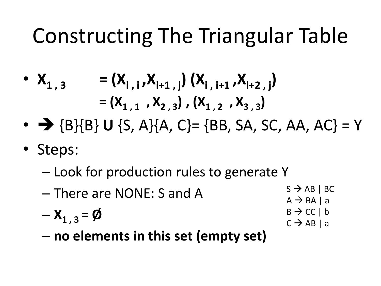• 
$$
X_{1,3}
$$
 =  $(X_{i,j}, X_{i+1,j}) (X_{i,j+1}, X_{i+2,j})$   
 =  $(X_{1,1}, X_{2,3}) (X_{1,2}, X_{3,3})$ 

- $\rightarrow \{B\} \{B\} U \{S, A\} \{A, C\} = \{BB, SA, SC, AA, AC\} = Y$
- Steps:
	- Look for production rules to generate Y
	- There are NONE: S and A  $-X_{1,3} = \emptyset$  $S \rightarrow AB \mid BC$  $A \rightarrow BA$  | a  $B \rightarrow CC \mid b$  $C \rightarrow AB \mid a$
	- **no elements in this set (empty set)**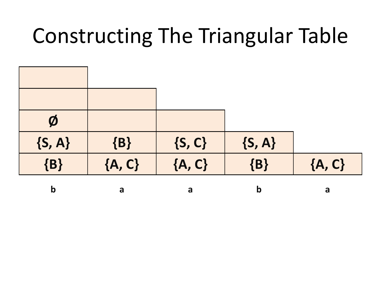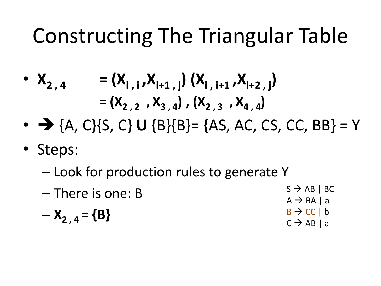• 
$$
X_{2,4}
$$
 =  $(X_{i,i}, X_{i+1,i}) (X_{i,i+1}, X_{i+2,i})$   
 =  $(X_{2,2}, X_{3,4}) (X_{2,3}, X_{4,4})$ 

- $\rightarrow$  {A, C}{S, C} **U** {B}{B}= {AS, AC, CS, CC, BB} = Y
- Steps:
	- Look for production rules to generate Y

| $-$ There is one: B | $S \rightarrow AB \mid BC$                          |
|---------------------|-----------------------------------------------------|
| $-X_{2,4} = {B}$    | $A \rightarrow BA$   a<br>$B \rightarrow CC \mid b$ |
|                     | $C \rightarrow AB \mid a$                           |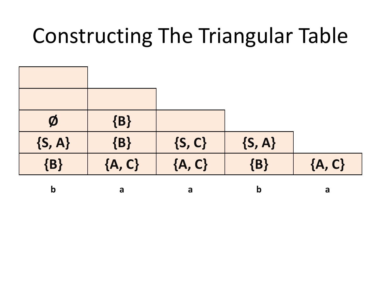| $\boldsymbol{\emptyset}$ | $\{B\}$  |            |             |          |
|--------------------------|----------|------------|-------------|----------|
| $\{S, A\}$               | $\{B\}$  | $\{S, C\}$ | $\{S, A\}$  |          |
| $\{B\}$                  | ${A, C}$ | ${A, C}$   | $\{B\}$     | ${A, C}$ |
| b                        | a        | a          | $\mathbf b$ | a        |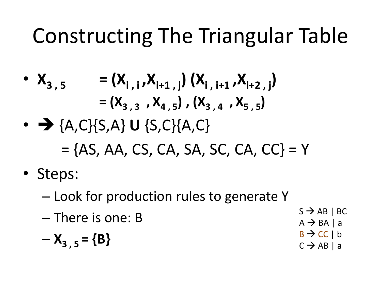• 
$$
X_{3,5}
$$
 =  $(X_{i, i}, X_{i+1, j}) (X_{i, i+1}, X_{i+2, j})$   
 =  $(X_{3,3}, X_{4,5})$ ,  $(X_{3,4}, X_{5,5})$ 

- $\rightarrow$  {A,C}{S,A} **U** {S,C}{A,C}  $=$  {AS, AA, CS, CA, SA, SC, CA, CC} = Y
- Steps:
	- Look for production rules to generate Y
	- There is one: B  $S \rightarrow AB \mid BC$  $A \rightarrow BA$  | a

$$
-X_{3,5}=\{B\}
$$

- 
- $B \rightarrow CC \mid b$
- $C \rightarrow AB \mid a$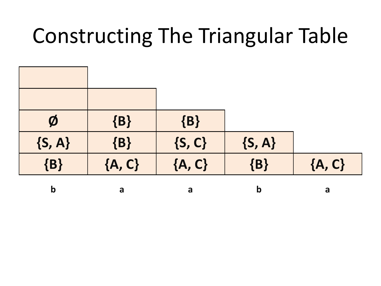| $\boldsymbol{\emptyset}$ | $\{B\}$  | $\{B\}$    |             |          |
|--------------------------|----------|------------|-------------|----------|
| $\{S, A\}$               | $\{B\}$  | $\{S, C\}$ | $\{S, A\}$  |          |
| $\{B\}$                  | ${A, C}$ | ${A, C}$   | $\{B\}$     | ${A, C}$ |
| b                        | a        | a          | $\mathbf b$ | a        |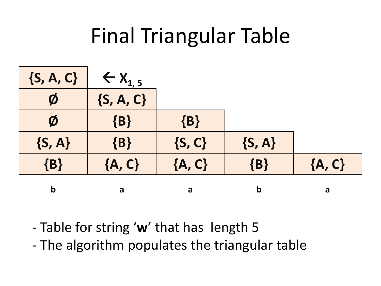#### Final Triangular Table



- Table for string '**w**' that has length 5
- The algorithm populates the triangular table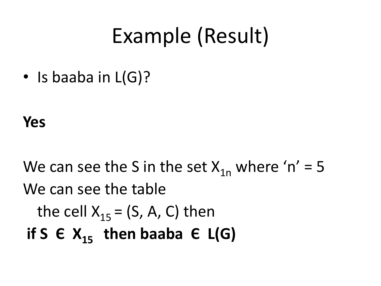#### Example (Result)

• Is baaba in L(G)?

**Yes**

We can see the S in the set  $X_{1n}$  where 'n' = 5 We can see the table the cell  $X_{15} = (S, A, C)$  then **if S**  $\in$  **X**<sub>15</sub> **then baaba**  $\in$  **L(G)**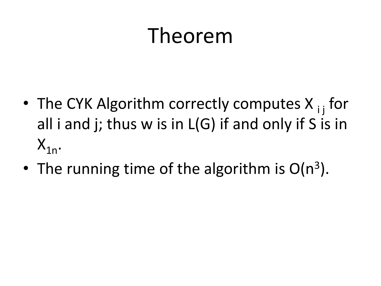#### Theorem

- The CYK Algorithm correctly computes  $X_{i}$  for all i and j; thus w is in L(G) if and only if S is in  $X_{1n}$ .
- The running time of the algorithm is  $O(n^3)$ .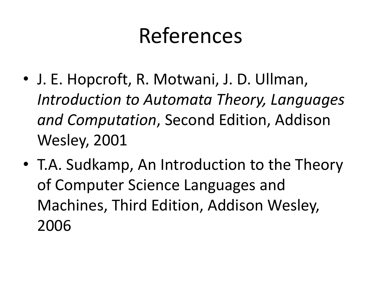#### References

- J. E. Hopcroft, R. Motwani, J. D. Ullman, *Introduction to Automata Theory, Languages and Computation*, Second Edition, Addison Wesley, 2001
- T.A. Sudkamp, An Introduction to the Theory of Computer Science Languages and Machines, Third Edition, Addison Wesley, 2006